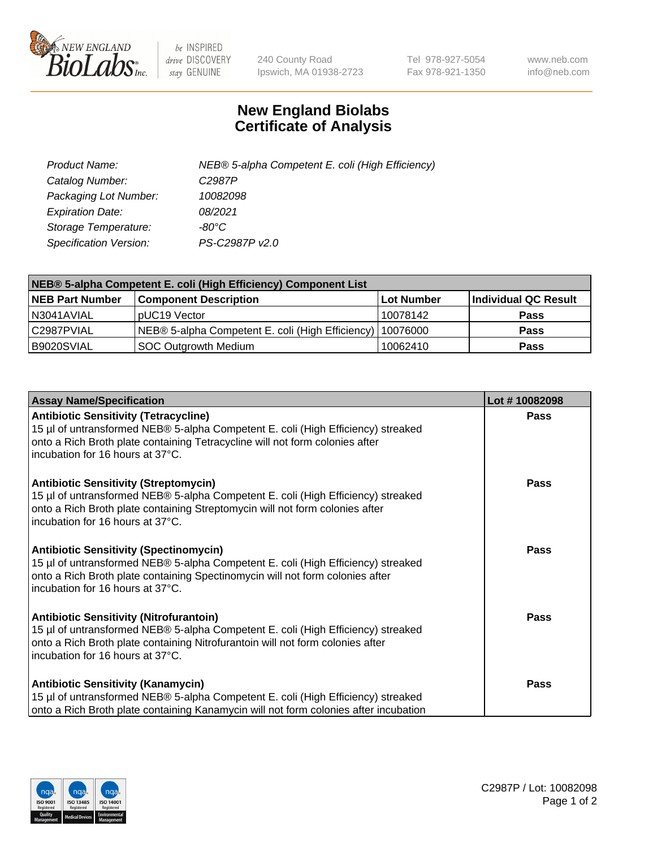

 $be$  INSPIRED drive DISCOVERY stay GENUINE

240 County Road Ipswich, MA 01938-2723 Tel 978-927-5054 Fax 978-921-1350 www.neb.com info@neb.com

## **New England Biolabs Certificate of Analysis**

| Product Name:                 | NEB® 5-alpha Competent E. coli (High Efficiency) |
|-------------------------------|--------------------------------------------------|
| Catalog Number:               | C <sub>2987</sub> P                              |
| Packaging Lot Number:         | 10082098                                         |
| <b>Expiration Date:</b>       | 08/2021                                          |
| Storage Temperature:          | -80°C                                            |
| <b>Specification Version:</b> | PS-C2987P v2.0                                   |

| NEB® 5-alpha Competent E. coli (High Efficiency) Component List |                                                  |            |                      |  |
|-----------------------------------------------------------------|--------------------------------------------------|------------|----------------------|--|
| <b>NEB Part Number</b>                                          | <b>Component Description</b>                     | Lot Number | Individual QC Result |  |
| N3041AVIAL                                                      | pUC19 Vector                                     | 10078142   | <b>Pass</b>          |  |
| C2987PVIAL                                                      | NEB® 5-alpha Competent E. coli (High Efficiency) | 10076000   | <b>Pass</b>          |  |
| B9020SVIAL                                                      | SOC Outgrowth Medium                             | 10062410   | <b>Pass</b>          |  |

| <b>Assay Name/Specification</b>                                                                                                                                                                                                                          | Lot #10082098 |
|----------------------------------------------------------------------------------------------------------------------------------------------------------------------------------------------------------------------------------------------------------|---------------|
| <b>Antibiotic Sensitivity (Tetracycline)</b><br>15 µl of untransformed NEB® 5-alpha Competent E. coli (High Efficiency) streaked<br>onto a Rich Broth plate containing Tetracycline will not form colonies after<br>incubation for 16 hours at 37°C.     | <b>Pass</b>   |
| <b>Antibiotic Sensitivity (Streptomycin)</b><br>15 µl of untransformed NEB® 5-alpha Competent E. coli (High Efficiency) streaked<br>onto a Rich Broth plate containing Streptomycin will not form colonies after<br>incubation for 16 hours at 37°C.     | <b>Pass</b>   |
| <b>Antibiotic Sensitivity (Spectinomycin)</b><br>15 µl of untransformed NEB® 5-alpha Competent E. coli (High Efficiency) streaked<br>onto a Rich Broth plate containing Spectinomycin will not form colonies after<br>incubation for 16 hours at 37°C.   | Pass          |
| <b>Antibiotic Sensitivity (Nitrofurantoin)</b><br>15 µl of untransformed NEB® 5-alpha Competent E. coli (High Efficiency) streaked<br>onto a Rich Broth plate containing Nitrofurantoin will not form colonies after<br>incubation for 16 hours at 37°C. | Pass          |
| <b>Antibiotic Sensitivity (Kanamycin)</b><br>15 µl of untransformed NEB® 5-alpha Competent E. coli (High Efficiency) streaked<br>onto a Rich Broth plate containing Kanamycin will not form colonies after incubation                                    | Pass          |